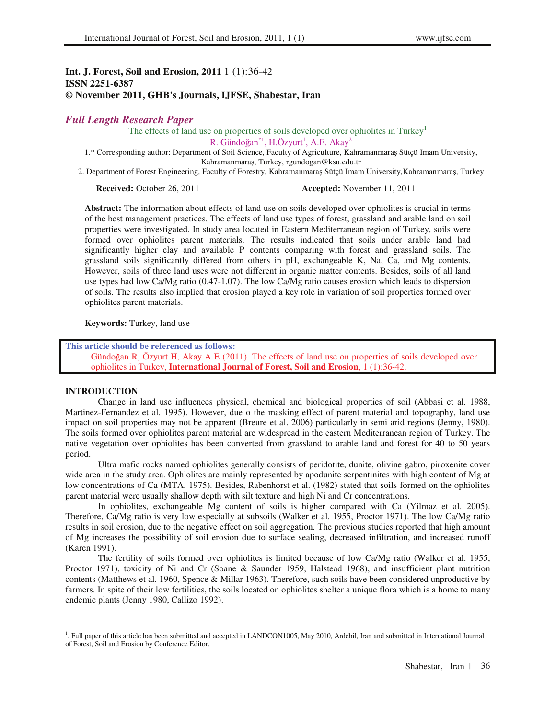# **Int. J. Forest, Soil and Erosion, 2011** 1 (1):36-42 **ISSN 2251-6387 © November 2011, GHB's Journals, IJFSE, Shabestar, Iran**

# *Full Length Research Paper*

The effects of land use on properties of soils developed over ophiolites in Turkey<sup>1</sup>

R. Gündoğan<sup>\*1</sup>, H.Özyurt<sup>1</sup>, A.E. Akay<sup>2</sup>

1.\* Corresponding author: Department of Soil Science, Faculty of Agriculture, Kahramanmara Sütçü Imam University, Kahramanmara, Turkey, rgundogan@ksu.edu.tr

2. Department of Forest Engineering, Faculty of Forestry, Kahramanmaraş Sütçü Imam University,Kahramanmaraş, Turkey

**Received:** October 26, 2011 **Accepted:** November 11, 2011

**Abstract:** The information about effects of land use on soils developed over ophiolites is crucial in terms of the best management practices. The effects of land use types of forest, grassland and arable land on soil properties were investigated. In study area located in Eastern Mediterranean region of Turkey, soils were formed over ophiolites parent materials. The results indicated that soils under arable land had significantly higher clay and available P contents comparing with forest and grassland soils. The grassland soils significantly differed from others in pH, exchangeable K, Na, Ca, and Mg contents. However, soils of three land uses were not different in organic matter contents. Besides, soils of all land use types had low Ca/Mg ratio (0.47-1.07). The low Ca/Mg ratio causes erosion which leads to dispersion of soils. The results also implied that erosion played a key role in variation of soil properties formed over ophiolites parent materials.

**Keywords:** Turkey, land use

**This article should be referenced as follows:**  Gündoğan R, Özyurt H, Akay A E  $(2011)$ . The effects of land use on properties of soils developed over ophiolites in Turkey, **International Journal of Forest, Soil and Erosion**, 1 (1):36-42

## **INTRODUCTION**

Change in land use influences physical, chemical and biological properties of soil (Abbasi et al. 1988, Martinez-Fernandez et al. 1995). However, due o the masking effect of parent material and topography, land use impact on soil properties may not be apparent (Breure et al. 2006) particularly in semi arid regions (Jenny, 1980). The soils formed over ophiolites parent material are widespread in the eastern Mediterranean region of Turkey. The native vegetation over ophiolites has been converted from grassland to arable land and forest for 40 to 50 years period.

Ultra mafic rocks named ophiolites generally consists of peridotite, dunite, olivine gabro, piroxenite cover wide area in the study area. Ophiolites are mainly represented by apodunite serpentinites with high content of Mg at low concentrations of Ca (MTA, 1975). Besides, Rabenhorst et al. (1982) stated that soils formed on the ophiolites parent material were usually shallow depth with silt texture and high Ni and Cr concentrations.

In ophiolites, exchangeable Mg content of soils is higher compared with Ca (Yilmaz et al. 2005). Therefore, Ca/Mg ratio is very low especially at subsoils (Walker et al. 1955, Proctor 1971). The low Ca/Mg ratio results in soil erosion, due to the negative effect on soil aggregation. The previous studies reported that high amount of Mg increases the possibility of soil erosion due to surface sealing, decreased infiltration, and increased runoff (Karen 1991).

The fertility of soils formed over ophiolites is limited because of low Ca/Mg ratio (Walker et al. 1955, Proctor 1971), toxicity of Ni and Cr (Soane & Saunder 1959, Halstead 1968), and insufficient plant nutrition contents (Matthews et al. 1960, Spence & Millar 1963). Therefore, such soils have been considered unproductive by farmers. In spite of their low fertilities, the soils located on ophiolites shelter a unique flora which is a home to many endemic plants (Jenny 1980, Callizo 1992).

<sup>&</sup>lt;sup>1</sup>. Full paper of this article has been submitted and accepted in LANDCON1005, May 2010, Ardebil, Iran and submitted in International Journal of Forest, Soil and Erosion by Conference Editor.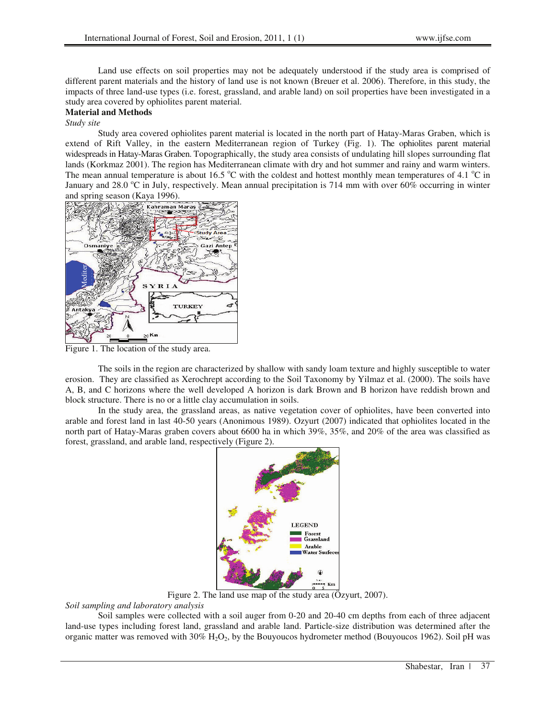Land use effects on soil properties may not be adequately understood if the study area is comprised of different parent materials and the history of land use is not known (Breuer et al. 2006). Therefore, in this study, the impacts of three land-use types (i.e. forest, grassland, and arable land) on soil properties have been investigated in a study area covered by ophiolites parent material.

## **Material and Methods**

*Study site* 

Study area covered ophiolites parent material is located in the north part of Hatay-Maras Graben, which is extend of Rift Valley, in the eastern Mediterranean region of Turkey (Fig. 1). The ophiolites parent material widespreads in Hatay-Maras Graben. Topographically, the study area consists of undulating hill slopes surrounding flat lands (Korkmaz 2001). The region has Mediterranean climate with dry and hot summer and rainy and warm winters. The mean annual temperature is about 16.5  $\degree$ C with the coldest and hottest monthly mean temperatures of 4.1  $\degree$ C in January and  $28.0$  °C in July, respectively. Mean annual precipitation is 714 mm with over 60% occurring in winter and spring season (Kaya 1996).



Figure 1. The location of the study area.

The soils in the region are characterized by shallow with sandy loam texture and highly susceptible to water erosion. They are classified as Xerochrept according to the Soil Taxonomy by Yilmaz et al. (2000). The soils have A, B, and C horizons where the well developed A horizon is dark Brown and B horizon have reddish brown and block structure. There is no or a little clay accumulation in soils.

In the study area, the grassland areas, as native vegetation cover of ophiolites, have been converted into arable and forest land in last 40-50 years (Anonimous 1989). Ozyurt (2007) indicated that ophiolites located in the north part of Hatay-Maras graben covers about 6600 ha in which 39%, 35%, and 20% of the area was classified as forest, grassland, and arable land, respectively (Figure 2).



Figure 2. The land use map of the study area (Özyurt, 2007).

*Soil sampling and laboratory analysis* 

Soil samples were collected with a soil auger from 0-20 and 20-40 cm depths from each of three adjacent land-use types including forest land, grassland and arable land. Particle-size distribution was determined after the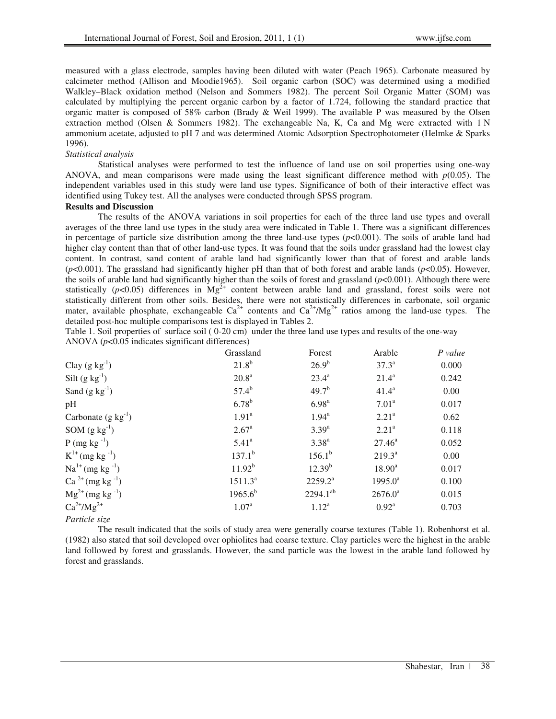measured with a glass electrode, samples having been diluted with water (Peach 1965). Carbonate measured by calcimeter method (Allison and Moodie1965). Soil organic carbon (SOC) was determined using a modified Walkley–Black oxidation method (Nelson and Sommers 1982). The percent Soil Organic Matter (SOM) was calculated by multiplying the percent organic carbon by a factor of 1.724, following the standard practice that organic matter is composed of 58% carbon (Brady & Weil 1999). The available P was measured by the Olsen extraction method (Olsen & Sommers 1982). The exchangeable Na, K, Ca and Mg were extracted with 1 N ammonium acetate, adjusted to pH 7 and was determined Atomic Adsorption Spectrophotometer (Helmke & Sparks 1996).

# *Statistical analysis*

Statistical analyses were performed to test the influence of land use on soil properties using one-way ANOVA, and mean comparisons were made using the least significant difference method with  $p(0.05)$ . The independent variables used in this study were land use types. Significance of both of their interactive effect was identified using Tukey test. All the analyses were conducted through SPSS program.

## **Results and Discussion**

The results of the ANOVA variations in soil properties for each of the three land use types and overall averages of the three land use types in the study area were indicated in Table 1. There was a significant differences in percentage of particle size distribution among the three land-use types  $(p<0.001)$ . The soils of arable land had higher clay content than that of other land-use types. It was found that the soils under grassland had the lowest clay content. In contrast, sand content of arable land had significantly lower than that of forest and arable lands (*p*<0.001). The grassland had significantly higher pH than that of both forest and arable lands (*p*<0.05). However, the soils of arable land had significantly higher than the soils of forest and grassland (*p*<0.001). Although there were statistically ( $p$ <0.05) differences in  $Mg^{2+}$  content between arable land and grassland, forest soils were not statistically different from other soils. Besides, there were not statistically differences in carbonate, soil organic mater, available phosphate, exchangeable  $Ca^{2+}$  contents and  $Ca^{2+}/Mg^{2+}$  ratios among the land-use types. The detailed post-hoc multiple comparisons test is displayed in Tables 2.

Table 1. Soil properties of surface soil ( 0-20 cm) under the three land use types and results of the one-way ANOVA (*p*<0.05 indicates significant differences)

|                                  | Grassland         | Forest            | Arable            | P value |
|----------------------------------|-------------------|-------------------|-------------------|---------|
| Clay $(g \ kg^{-1})$             | $21.8^{b}$        | $26.9^{b}$        | $37.3^a$          | 0.000   |
| Silt $(g kg^{-1})$               | 20.8 <sup>a</sup> | $23.4^a$          | $21.4^a$          | 0.242   |
| Sand $(g kg^{-1})$               | $57.4^b$          | $49.7^{b}$        | $41.4^a$          | 0.00    |
| pH                               | $6.78^{b}$        | 6.98 <sup>a</sup> | 7.01 <sup>a</sup> | 0.017   |
| Carbonate $(g \text{ kg}^{-1})$  | 1.91 <sup>a</sup> | $1.94^{\rm a}$    | 2.21 <sup>a</sup> | 0.62    |
| SOM $(g kg^{-1})$                | $2.67^{\circ}$    | $3.39^{a}$        | 2.21 <sup>a</sup> | 0.118   |
| $P$ (mg kg <sup>-1</sup> )       | 5.41 <sup>a</sup> | $3.38^{a}$        | $27.46^a$         | 0.052   |
| $K^{1+}$ (mg kg <sup>-1</sup> )  | $137.1^b$         | $156.1^{b}$       | $219.3^a$         | 0.00    |
| $Na^{1+}$ (mg kg <sup>-1</sup> ) | $11.92^{b}$       | $12.39^{b}$       | $18.90^a$         | 0.017   |
| $Ca^{2+} (mg kg^{-1})$           | $1511.3^a$        | $2259.2^a$        | $1995.0^a$        | 0.100   |
| $Mg^{2+}$ (mg kg <sup>-1</sup> ) | $1965.6^{b}$      | $2294.1^{ab}$     | $2676.0^a$        | 0.015   |
| $Ca^{2+}/Mg^{2+}$                | 1.07 <sup>a</sup> | $1.12^{a}$        | $0.92^{\text{a}}$ | 0.703   |
| Particle size                    |                   |                   |                   |         |

The result indicated that the soils of study area were generally coarse textures (Table 1). Robenhorst et al. (1982) also stated that soil developed over ophiolites had coarse texture. Clay particles were the highest in the arable land followed by forest and grasslands. However, the sand particle was the lowest in the arable land followed by forest and grasslands.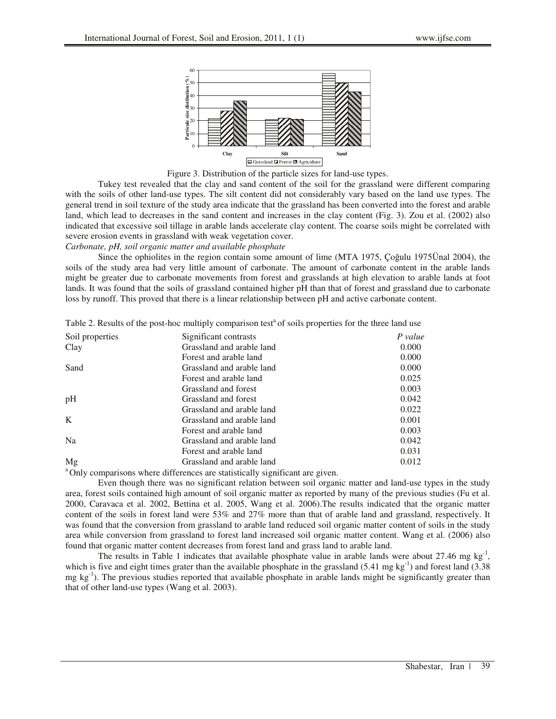

Figure 3. Distribution of the particle sizes for land-use types.

Tukey test revealed that the clay and sand content of the soil for the grassland were different comparing with the soils of other land-use types. The silt content did not considerably vary based on the land use types. The general trend in soil texture of the study area indicate that the grassland has been converted into the forest and arable land, which lead to decreases in the sand content and increases in the clay content (Fig. 3). Zou et al. (2002) also indicated that excessive soil tillage in arable lands accelerate clay content. The coarse soils might be correlated with severe erosion events in grassland with weak vegetation cover.

# *Carbonate, pH, soil organic matter and available phosphate*

Since the ophiolites in the region contain some amount of lime (MTA 1975, Cogulu 1975Unal 2004), the soils of the study area had very little amount of carbonate. The amount of carbonate content in the arable lands might be greater due to carbonate movements from forest and grasslands at high elevation to arable lands at foot lands. It was found that the soils of grassland contained higher pH than that of forest and grassland due to carbonate loss by runoff. This proved that there is a linear relationship between pH and active carbonate content.

| Table 2. Results of the post-hoc multiply comparison test <sup>a</sup> of soils properties for the three land use |  |  |  |  |  |
|-------------------------------------------------------------------------------------------------------------------|--|--|--|--|--|
|-------------------------------------------------------------------------------------------------------------------|--|--|--|--|--|

| Soil properties | Significant contrasts     | P value |
|-----------------|---------------------------|---------|
| Clay            | Grassland and arable land | 0.000   |
|                 | Forest and arable land    | 0.000   |
| Sand            | Grassland and arable land | 0.000   |
|                 | Forest and arable land    | 0.025   |
|                 | Grassland and forest      | 0.003   |
| pH              | Grassland and forest      | 0.042   |
|                 | Grassland and arable land | 0.022   |
| K               | Grassland and arable land | 0.001   |
|                 | Forest and arable land    | 0.003   |
| N <sub>a</sub>  | Grassland and arable land | 0.042   |
|                 | Forest and arable land    | 0.031   |
| Mg              | Grassland and arable land | 0.012   |
|                 |                           |         |

<sup>a</sup> Only comparisons where differences are statistically significant are given.

Even though there was no significant relation between soil organic matter and land-use types in the study area, forest soils contained high amount of soil organic matter as reported by many of the previous studies (Fu et al. 2000, Caravaca et al. 2002, Bettina et al. 2005, Wang et al. 2006).The results indicated that the organic matter content of the soils in forest land were 53% and 27% more than that of arable land and grassland, respectively. It was found that the conversion from grassland to arable land reduced soil organic matter content of soils in the study area while conversion from grassland to forest land increased soil organic matter content. Wang et al. (2006) also found that organic matter content decreases from forest land and grass land to arable land.

The results in Table 1 indicates that available phosphate value in arable lands were about 27.46 mg  $kg<sup>-1</sup>$ , which is five and eight times grater than the available phosphate in the grassland  $(5.41 \text{ mg kg}^{-1})$  and forest land  $(3.38 \text{ m})$ mg  $kg^{-1}$ ). The previous studies reported that available phosphate in arable lands might be significantly greater than that of other land-use types (Wang et al. 2003).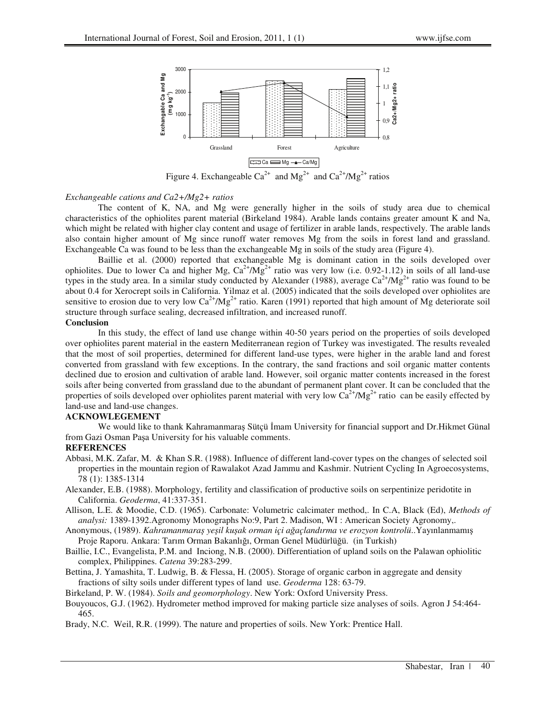

Figure 4. Exchangeable  $Ca^{2+}$  and  $Mg^{2+}$  and  $Ca^{2+}/Mg^{2+}$  ratios

## *Exchangeable cations and Ca2+/Mg2+ ratios*

The content of K, NA, and Mg were generally higher in the soils of study area due to chemical characteristics of the ophiolites parent material (Birkeland 1984). Arable lands contains greater amount K and Na, which might be related with higher clay content and usage of fertilizer in arable lands, respectively. The arable lands also contain higher amount of Mg since runoff water removes Mg from the soils in forest land and grassland. Exchangeable Ca was found to be less than the exchangeable Mg in soils of the study area (Figure 4).

Baillie et al. (2000) reported that exchangeable Mg is dominant cation in the soils developed over ophiolites. Due to lower Ca and higher Mg,  $Ca^{2+}/Mg^{2+}$  ratio was very low (i.e. 0.92-1.12) in soils of all land-use types in the study area. In a similar study conducted by Alexander (1988), average  $Ca^{2+}/Mg^{2+}$  ratio was found to be about 0.4 for Xerocrept soils in California. Yilmaz et al. (2005) indicated that the soils developed over ophiolites are sensitive to erosion due to very low  $Ca^{2+}/Mg^{2+}$  ratio. Karen (1991) reported that high amount of Mg deteriorate soil structure through surface sealing, decreased infiltration, and increased runoff.

#### **Conclusion**

In this study, the effect of land use change within 40-50 years period on the properties of soils developed over ophiolites parent material in the eastern Mediterranean region of Turkey was investigated. The results revealed that the most of soil properties, determined for different land-use types, were higher in the arable land and forest converted from grassland with few exceptions. In the contrary, the sand fractions and soil organic matter contents declined due to erosion and cultivation of arable land. However, soil organic matter contents increased in the forest soils after being converted from grassland due to the abundant of permanent plant cover. It can be concluded that the properties of soils developed over ophiolites parent material with very low  $Ca^{2+}/Mg^{2+}$  ratio can be easily effected by land-use and land-use changes.

### **ACKNOWLEGEMENT**

We would like to thank Kahramanmaras Sütçü İmam University for financial support and Dr.Hikmet Günal from Gazi Osman Paşa University for his valuable comments.

### **REFERENCES**

- Abbasi, M.K. Zafar, M. & Khan S.R. (1988). Influence of different land-cover types on the changes of selected soil properties in the mountain region of Rawalakot Azad Jammu and Kashmir. Nutrient Cycling In Agroecosystems, 78 (1): 1385-1314
- Alexander, E.B. (1988). Morphology, fertility and classification of productive soils on serpentinize peridotite in California. *Geoderma*, 41:337-351.
- Allison, L.E. & Moodie, C.D. (1965). Carbonate: Volumetric calcimater method,. In C.A, Black (Ed), *Methods of analysi:* 1389-1392.Agronomy Monographs No:9, Part 2. Madison, WI : American Society Agronomy,.
- Anonymous, (1989). *Kahramanmara yeil kuak orman içi a*-*açlandırma ve erozyon kontrolü*..Yayınlanmamı Proje Raporu. Ankara: Tarım Orman Bakanlığı, Orman Genel Müdürlüğü. (in Turkish)
- Baillie, I.C., Evangelista, P.M. and Inciong, N.B. (2000). Differentiation of upland soils on the Palawan ophiolitic complex, Philippines. *Catena* 39:283-299.
- Bettina, J. Yamashita, T. Ludwig, B. & Flessa, H. (2005). Storage of organic carbon in aggregate and density fractions of silty soils under different types of land use. *Geoderma* 128: 63-79.
- Birkeland, P. W. (1984). *Soils and geomorphology*. New York: Oxford University Press.
- Bouyoucos, G.J. (1962). Hydrometer method improved for making particle size analyses of soils. Agron J 54:464- 465.
- Brady, N.C. Weil, R.R. (1999). The nature and properties of soils. New York: Prentice Hall.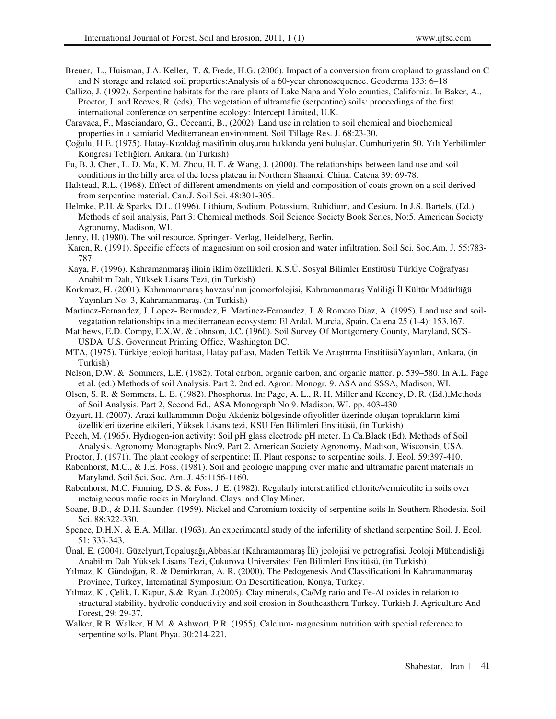- Breuer, L., Huisman, J.A. Keller, T. & Frede, H.G. (2006). Impact of a conversion from cropland to grassland on C and N storage and related soil properties:Analysis of a 60-year chronosequence. Geoderma 133: 6–18
- Callizo, J. (1992). Serpentine habitats for the rare plants of Lake Napa and Yolo counties, California. In Baker, A., Proctor, J. and Reeves, R. (eds), The vegetation of ultramafic (serpentine) soils: proceedings of the first international conference on serpentine ecology: Intercept Limited, U.K.
- Caravaca, F., Masciandaro, G., Ceccanti, B., (2002). Land use in relation to soil chemical and biochemical properties in a samiarid Mediterranean environment. Soil Tillage Res. J. 68:23-30.
- Çoğulu, H.E. (1975). Hatay-Kızıldağ masifinin oluşumu hakkında yeni buluşlar. Cumhuriyetin 50. Yılı Yerbilimleri Kongresi Tebliğleri, Ankara. (in Turkish)
- Fu, B. J. Chen, L. D. Ma, K. M. Zhou, H. F. & Wang, J. (2000). The relationships between land use and soil conditions in the hilly area of the loess plateau in Northern Shaanxi, China. Catena 39: 69-78.
- Halstead, R.L. (1968). Effect of different amendments on yield and composition of coats grown on a soil derived from serpentine material. Can.J. Soil Sci. 48:301-305.
- Helmke, P.H. & Sparks. D.L. (1996). Lithium, Sodium, Potassium, Rubidium, and Cesium. In J.S. Bartels, (Ed.) Methods of soil analysis, Part 3: Chemical methods. Soil Science Society Book Series, No:5. American Society Agronomy, Madison, WI.
- Jenny, H. (1980). The soil resource. Springer- Verlag, Heidelberg, Berlin.
- Karen, R. (1991). Specific effects of magnesium on soil erosion and water infiltration. Soil Sci. Soc.Am. J. 55:783- 787.
- Kaya, F. (1996). Kahramanmaraş ilinin iklim özellikleri. K.S.Ü. Sosyal Bilimler Enstitüsü Türkiye Coğrafyası Anabilim Dalı, Yüksek Lisans Tezi, (in Turkish)
- Korkmaz, H. (2001). Kahramanmaraş havzası'nın jeomorfolojisi, Kahramanmaraş Valiliği İl Kültür Müdürlüğü Yayınları No: 3, Kahramanmaraş. (in Turkish)
- Martinez-Fernandez, J. Lopez- Bermudez, F. Martinez-Fernandez, J. & Romero Diaz, A. (1995). Land use and soilvegatation relationships in a mediterranean ecosystem: El Ardal, Murcia, Spain. Catena 25 (1-4): 153,167.
- Matthews, E.D. Compy, E.X.W. & Johnson, J.C. (1960). Soil Survey Of Montgomery County, Maryland, SCS-USDA. U.S. Goverment Printing Office, Washington DC.
- MTA, (1975). Türkiye jeoloji haritası, Hatay paftası, Maden Tetkik Ve Aratırma EnstitüsüYayınları, Ankara, (in Turkish)
- Nelson, D.W. & Sommers, L.E. (1982). Total carbon, organic carbon, and organic matter. p. 539–580. In A.L. Page et al. (ed.) Methods of soil Analysis. Part 2. 2nd ed. Agron. Monogr. 9. ASA and SSSA, Madison, WI.
- Olsen, S. R. & Sommers, L. E. (1982). Phosphorus. In: Page, A. L., R. H. Miller and Keeney, D. R. (Ed.),Methods of Soil Analysis. Part 2, Second Ed., ASA Monograph No 9. Madison, WI. pp. 403-430
- Özyurt, H. (2007). Arazi kullanımının Doğu Akdeniz bölgesinde ofiyolitler üzerinde oluşan toprakların kimi özellikleri üzerine etkileri, Yüksek Lisans tezi, KSU Fen Bilimleri Enstitüsü, (in Turkish)
- Peech, M. (1965). Hydrogen-ion activity: Soil pH glass electrode pH meter. In Ca.Black (Ed). Methods of Soil Analysis. Agronomy Monographs No:9, Part 2. American Society Agronomy, Madison, Wisconsin, USA.
- Proctor, J. (1971). The plant ecology of serpentine: II. Plant response to serpentine soils. J. Ecol. 59:397-410.
- Rabenhorst, M.C., & J.E. Foss. (1981). Soil and geologic mapping over mafic and ultramafic parent materials in Maryland. Soil Sci. Soc. Am. J. 45:1156-1160.
- Rabenhorst, M.C. Fanning, D.S. & Foss, J. E. (1982). Regularly interstratified chlorite/vermiculite in soils over metaigneous mafic rocks in Maryland. Clays and Clay Miner.
- Soane, B.D., & D.H. Saunder. (1959). Nickel and Chromium toxicity of serpentine soils In Southern Rhodesia. Soil Sci. 88:322-330.
- Spence, D.H.N. & E.A. Millar. (1963). An experimental study of the infertility of shetland serpentine Soil. J. Ecol. 51: 333-343.
- Ünal, E. (2004). Güzelyurt,Topalusağı,Abbaslar (Kahramanmaras İli) jeolojisi ve petrografisi. Jeoloji Mühendisliği Anabilim Dalı Yüksek Lisans Tezi, Çukurova Üniversitesi Fen Bilimleri Enstitüsü, (in Turkish)
- Yılmaz, K. Gündoğan, R. & Demirkıran, A. R. (2000). The Pedogenesis And Classificationi İn Kahramanmaras Province, Turkey, Internatinal Symposium On Desertification, Konya, Turkey.
- Yılmaz, K., Çelik, I. Kapur, S.& Ryan, J.(2005). Clay minerals, Ca/Mg ratio and Fe-Al oxides in relation to structural stability, hydrolic conductivity and soil erosion in Southeasthern Turkey. Turkish J. Agriculture And Forest, 29: 29-37.
- Walker, R.B. Walker, H.M. & Ashwort, P.R. (1955). Calcium- magnesium nutrition with special reference to serpentine soils. Plant Phya. 30:214-221.